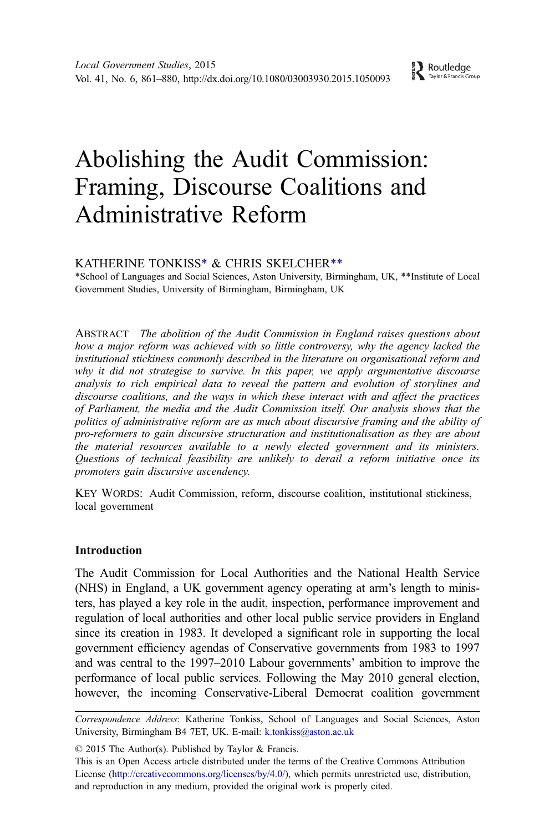# Abolishing the Audit Commission: Framing, Discourse Coalitions and Administrative Reform

# KATHERINE TONKISS\* & CHRIS SKELCHER\*\*

\*School of Languages and Social Sciences, Aston University, Birmingham, UK, \*\*Institute of Local Government Studies, University of Birmingham, Birmingham, UK

ABSTRACT The abolition of the Audit Commission in England raises questions about how a major reform was achieved with so little controversy, why the agency lacked the institutional stickiness commonly described in the literature on organisational reform and why it did not strategise to survive. In this paper, we apply argumentative discourse analysis to rich empirical data to reveal the pattern and evolution of storylines and discourse coalitions, and the ways in which these interact with and affect the practices of Parliament, the media and the Audit Commission itself. Our analysis shows that the politics of administrative reform are as much about discursive framing and the ability of pro-reformers to gain discursive structuration and institutionalisation as they are about the material resources available to a newly elected government and its ministers. Questions of technical feasibility are unlikely to derail a reform initiative once its promoters gain discursive ascendency.

KEY WORDS: Audit Commission, reform, discourse coalition, institutional stickiness, local government

#### Introduction

The Audit Commission for Local Authorities and the National Health Service (NHS) in England, a UK government agency operating at arm's length to ministers, has played a key role in the audit, inspection, performance improvement and regulation of local authorities and other local public service providers in England since its creation in 1983. It developed a significant role in supporting the local government efficiency agendas of Conservative governments from 1983 to 1997 and was central to the 1997–2010 Labour governments' ambition to improve the performance of local public services. Following the May 2010 general election, however, the incoming Conservative-Liberal Democrat coalition government

Correspondence Address: Katherine Tonkiss, School of Languages and Social Sciences, Aston University, Birmingham B4 7ET, UK. E-mail: k.tonkiss@aston.ac.uk

© 2015 The Author(s). Published by Taylor & Francis.

This is an Open Access article distributed under the terms of the Creative Commons Attribution License (http://creativecommons.org/licenses/by/4.0/), which permits unrestricted use, distribution, and reproduction in any medium, provided the original work is properly cited.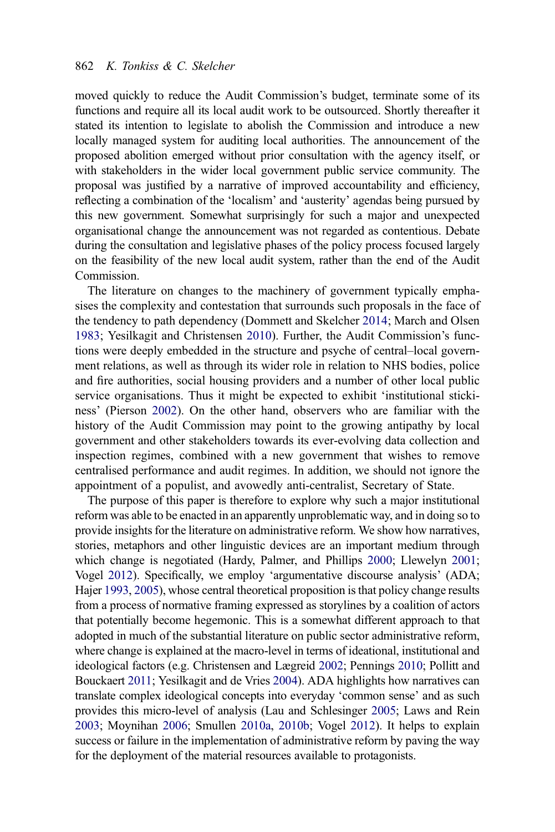moved quickly to reduce the Audit Commission's budget, terminate some of its functions and require all its local audit work to be outsourced. Shortly thereafter it stated its intention to legislate to abolish the Commission and introduce a new locally managed system for auditing local authorities. The announcement of the proposed abolition emerged without prior consultation with the agency itself, or with stakeholders in the wider local government public service community. The proposal was justified by a narrative of improved accountability and efficiency, reflecting a combination of the 'localism' and 'austerity' agendas being pursued by this new government. Somewhat surprisingly for such a major and unexpected organisational change the announcement was not regarded as contentious. Debate during the consultation and legislative phases of the policy process focused largely on the feasibility of the new local audit system, rather than the end of the Audit Commission.

The literature on changes to the machinery of government typically emphasises the complexity and contestation that surrounds such proposals in the face of the tendency to path dependency (Dommett and Skelcher [2014](#page-16-0); March and Olsen [1983;](#page-18-0) Yesilkagit and Christensen [2010\)](#page-19-0). Further, the Audit Commission's functions were deeply embedded in the structure and psyche of central–local government relations, as well as through its wider role in relation to NHS bodies, police and fire authorities, social housing providers and a number of other local public service organisations. Thus it might be expected to exhibit 'institutional stickiness' (Pierson [2002](#page-18-0)). On the other hand, observers who are familiar with the history of the Audit Commission may point to the growing antipathy by local government and other stakeholders towards its ever-evolving data collection and inspection regimes, combined with a new government that wishes to remove centralised performance and audit regimes. In addition, we should not ignore the appointment of a populist, and avowedly anti-centralist, Secretary of State.

The purpose of this paper is therefore to explore why such a major institutional reform was able to be enacted in an apparently unproblematic way, and in doing so to provide insights for the literature on administrative reform. We show how narratives, stories, metaphors and other linguistic devices are an important medium through which change is negotiated (Hardy, Palmer, and Phillips [2000;](#page-17-0) Llewelyn [2001;](#page-18-0) Vogel [2012\)](#page-19-0). Specifically, we employ 'argumentative discourse analysis' (ADA; Hajer [1993,](#page-17-0) [2005\)](#page-17-0), whose central theoretical proposition is that policy change results from a process of normative framing expressed as storylines by a coalition of actors that potentially become hegemonic. This is a somewhat different approach to that adopted in much of the substantial literature on public sector administrative reform, where change is explained at the macro-level in terms of ideational, institutional and ideological factors (e.g. Christensen and Lægreid [2002;](#page-16-0) Pennings [2010;](#page-18-0) Pollitt and Bouckaert [2011](#page-18-0); Yesilkagit and de Vries [2004](#page-19-0)). ADA highlights how narratives can translate complex ideological concepts into everyday 'common sense' and as such provides this micro-level of analysis (Lau and Schlesinger [2005;](#page-18-0) Laws and Rein [2003](#page-18-0); Moynihan [2006](#page-18-0); Smullen [2010a](#page-18-0), [2010b;](#page-18-0) Vogel [2012](#page-19-0)). It helps to explain success or failure in the implementation of administrative reform by paving the way for the deployment of the material resources available to protagonists.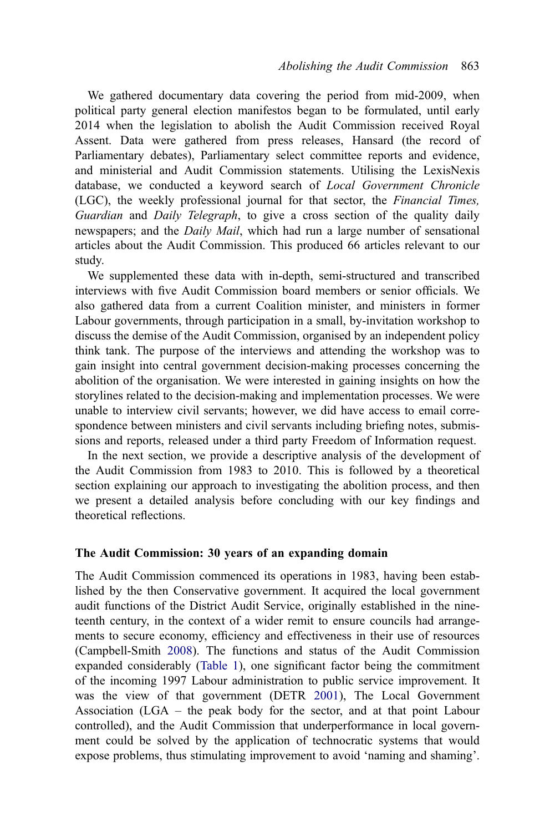We gathered documentary data covering the period from mid-2009, when political party general election manifestos began to be formulated, until early 2014 when the legislation to abolish the Audit Commission received Royal Assent. Data were gathered from press releases, Hansard (the record of Parliamentary debates), Parliamentary select committee reports and evidence, and ministerial and Audit Commission statements. Utilising the LexisNexis database, we conducted a keyword search of Local Government Chronicle (LGC), the weekly professional journal for that sector, the Financial Times, Guardian and Daily Telegraph, to give a cross section of the quality daily newspapers; and the *Daily Mail*, which had run a large number of sensational articles about the Audit Commission. This produced 66 articles relevant to our study.

We supplemented these data with in-depth, semi-structured and transcribed interviews with five Audit Commission board members or senior officials. We also gathered data from a current Coalition minister, and ministers in former Labour governments, through participation in a small, by-invitation workshop to discuss the demise of the Audit Commission, organised by an independent policy think tank. The purpose of the interviews and attending the workshop was to gain insight into central government decision-making processes concerning the abolition of the organisation. We were interested in gaining insights on how the storylines related to the decision-making and implementation processes. We were unable to interview civil servants; however, we did have access to email correspondence between ministers and civil servants including briefing notes, submissions and reports, released under a third party Freedom of Information request.

In the next section, we provide a descriptive analysis of the development of the Audit Commission from 1983 to 2010. This is followed by a theoretical section explaining our approach to investigating the abolition process, and then we present a detailed analysis before concluding with our key findings and theoretical reflections.

#### The Audit Commission: 30 years of an expanding domain

The Audit Commission commenced its operations in 1983, having been established by the then Conservative government. It acquired the local government audit functions of the District Audit Service, originally established in the nineteenth century, in the context of a wider remit to ensure councils had arrangements to secure economy, efficiency and effectiveness in their use of resources (Campbell-Smith [2008](#page-16-0)). The functions and status of the Audit Commission expanded considerably ([Table 1](#page-3-0)), one significant factor being the commitment of the incoming 1997 Labour administration to public service improvement. It was the view of that government (DETR [2001](#page-16-0)), The Local Government Association (LGA – the peak body for the sector, and at that point Labour controlled), and the Audit Commission that underperformance in local government could be solved by the application of technocratic systems that would expose problems, thus stimulating improvement to avoid 'naming and shaming'.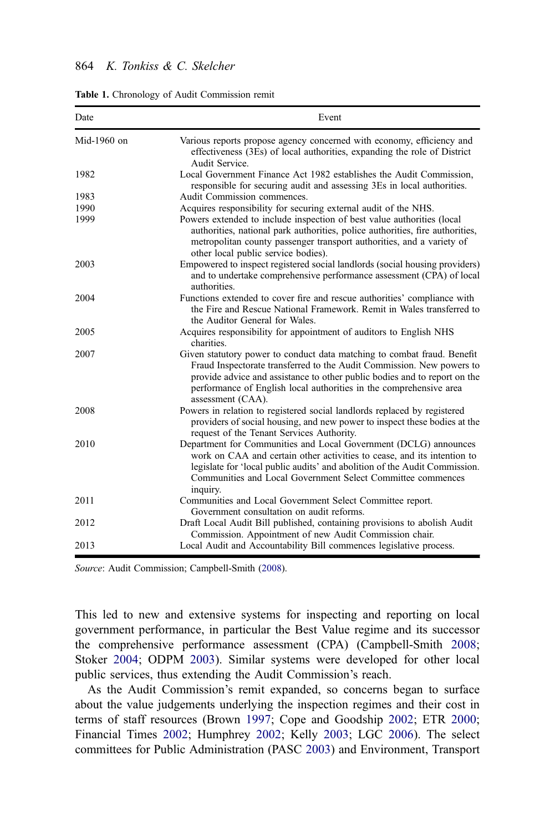#### <span id="page-3-0"></span>864 K. Tonkiss & C. Skelcher

| Table 1. Chronology of Audit Commission remit |  |  |  |  |  |
|-----------------------------------------------|--|--|--|--|--|
|-----------------------------------------------|--|--|--|--|--|

| Date        | Event                                                                                                                                                                                                                                                                                                                    |
|-------------|--------------------------------------------------------------------------------------------------------------------------------------------------------------------------------------------------------------------------------------------------------------------------------------------------------------------------|
| Mid-1960 on | Various reports propose agency concerned with economy, efficiency and<br>effectiveness (3Es) of local authorities, expanding the role of District<br>Audit Service.                                                                                                                                                      |
| 1982        | Local Government Finance Act 1982 establishes the Audit Commission,<br>responsible for securing audit and assessing 3Es in local authorities.                                                                                                                                                                            |
| 1983        | Audit Commission commences.                                                                                                                                                                                                                                                                                              |
| 1990        | Acquires responsibility for securing external audit of the NHS.                                                                                                                                                                                                                                                          |
| 1999        | Powers extended to include inspection of best value authorities (local<br>authorities, national park authorities, police authorities, fire authorities,<br>metropolitan county passenger transport authorities, and a variety of<br>other local public service bodies).                                                  |
| 2003        | Empowered to inspect registered social landlords (social housing providers)<br>and to undertake comprehensive performance assessment (CPA) of local<br>authorities.                                                                                                                                                      |
| 2004        | Functions extended to cover fire and rescue authorities' compliance with<br>the Fire and Rescue National Framework. Remit in Wales transferred to<br>the Auditor General for Wales.                                                                                                                                      |
| 2005        | Acquires responsibility for appointment of auditors to English NHS<br>charities.                                                                                                                                                                                                                                         |
| 2007        | Given statutory power to conduct data matching to combat fraud. Benefit<br>Fraud Inspectorate transferred to the Audit Commission. New powers to<br>provide advice and assistance to other public bodies and to report on the<br>performance of English local authorities in the comprehensive area<br>assessment (CAA). |
| 2008        | Powers in relation to registered social landlords replaced by registered<br>providers of social housing, and new power to inspect these bodies at the<br>request of the Tenant Services Authority.                                                                                                                       |
| 2010        | Department for Communities and Local Government (DCLG) announces<br>work on CAA and certain other activities to cease, and its intention to<br>legislate for 'local public audits' and abolition of the Audit Commission.<br>Communities and Local Government Select Committee commences<br>inquiry.                     |
| 2011        | Communities and Local Government Select Committee report.<br>Government consultation on audit reforms.                                                                                                                                                                                                                   |
| 2012        | Draft Local Audit Bill published, containing provisions to abolish Audit<br>Commission. Appointment of new Audit Commission chair.                                                                                                                                                                                       |
| 2013        | Local Audit and Accountability Bill commences legislative process.                                                                                                                                                                                                                                                       |

Source: Audit Commission; Campbell-Smith ([2008\)](#page-16-0).

This led to new and extensive systems for inspecting and reporting on local government performance, in particular the Best Value regime and its successor the comprehensive performance assessment (CPA) (Campbell-Smith [2008;](#page-16-0) Stoker [2004](#page-18-0); ODPM [2003\)](#page-18-0). Similar systems were developed for other local public services, thus extending the Audit Commission's reach.

As the Audit Commission's remit expanded, so concerns began to surface about the value judgements underlying the inspection regimes and their cost in terms of staff resources (Brown [1997](#page-16-0); Cope and Goodship [2002;](#page-16-0) ETR [2000;](#page-17-0) Financial Times [2002](#page-17-0); Humphrey [2002](#page-17-0); Kelly [2003](#page-17-0); LGC [2006\)](#page-18-0). The select committees for Public Administration (PASC [2003\)](#page-18-0) and Environment, Transport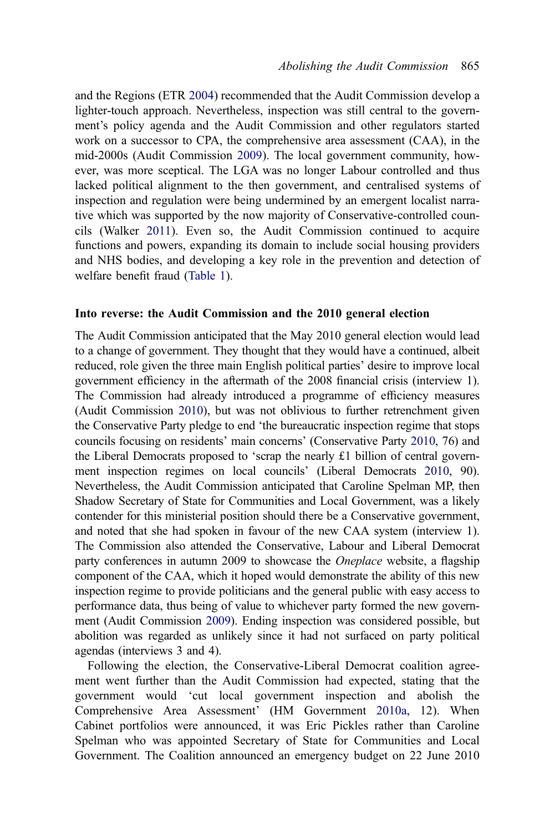and the Regions (ETR [2004\)](#page-17-0) recommended that the Audit Commission develop a lighter-touch approach. Nevertheless, inspection was still central to the government's policy agenda and the Audit Commission and other regulators started work on a successor to CPA, the comprehensive area assessment (CAA), in the mid-2000s (Audit Commission [2009](#page-16-0)). The local government community, however, was more sceptical. The LGA was no longer Labour controlled and thus lacked political alignment to the then government, and centralised systems of inspection and regulation were being undermined by an emergent localist narrative which was supported by the now majority of Conservative-controlled councils (Walker [2011\)](#page-19-0). Even so, the Audit Commission continued to acquire functions and powers, expanding its domain to include social housing providers and NHS bodies, and developing a key role in the prevention and detection of welfare benefit fraud [\(Table 1](#page-3-0)).

#### Into reverse: the Audit Commission and the 2010 general election

The Audit Commission anticipated that the May 2010 general election would lead to a change of government. They thought that they would have a continued, albeit reduced, role given the three main English political parties' desire to improve local government efficiency in the aftermath of the 2008 financial crisis (interview 1). The Commission had already introduced a programme of efficiency measures (Audit Commission [2010\)](#page-16-0), but was not oblivious to further retrenchment given the Conservative Party pledge to end 'the bureaucratic inspection regime that stops councils focusing on residents' main concerns' (Conservative Party [2010](#page-16-0), 76) and the Liberal Democrats proposed to 'scrap the nearly £1 billion of central government inspection regimes on local councils' (Liberal Democrats [2010](#page-16-0), 90). Nevertheless, the Audit Commission anticipated that Caroline Spelman MP, then Shadow Secretary of State for Communities and Local Government, was a likely contender for this ministerial position should there be a Conservative government, and noted that she had spoken in favour of the new CAA system (interview 1). The Commission also attended the Conservative, Labour and Liberal Democrat party conferences in autumn 2009 to showcase the *Oneplace* website, a flagship component of the CAA, which it hoped would demonstrate the ability of this new inspection regime to provide politicians and the general public with easy access to performance data, thus being of value to whichever party formed the new government (Audit Commission [2009\)](#page-16-0). Ending inspection was considered possible, but abolition was regarded as unlikely since it had not surfaced on party political agendas (interviews 3 and 4).

Following the election, the Conservative-Liberal Democrat coalition agreement went further than the Audit Commission had expected, stating that the government would 'cut local government inspection and abolish the Comprehensive Area Assessment' (HM Government [2010a,](#page-17-0) 12). When Cabinet portfolios were announced, it was Eric Pickles rather than Caroline Spelman who was appointed Secretary of State for Communities and Local Government. The Coalition announced an emergency budget on 22 June 2010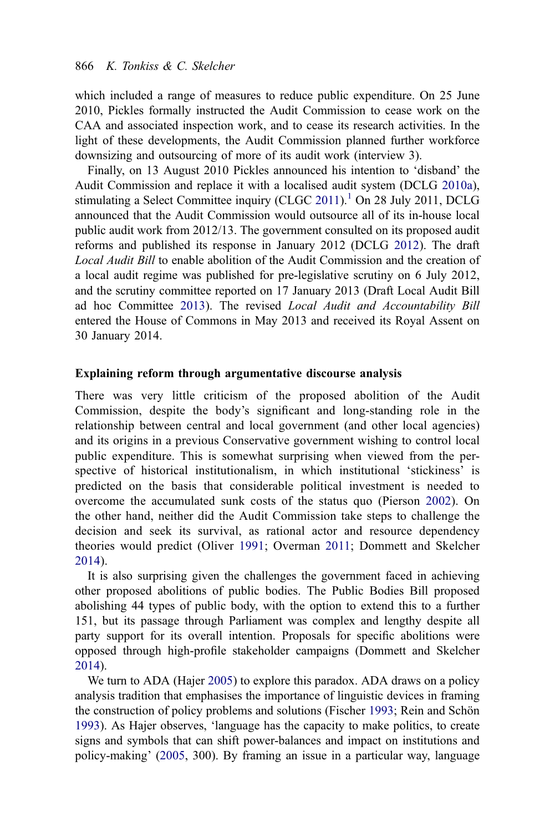which included a range of measures to reduce public expenditure. On 25 June 2010, Pickles formally instructed the Audit Commission to cease work on the CAA and associated inspection work, and to cease its research activities. In the light of these developments, the Audit Commission planned further workforce downsizing and outsourcing of more of its audit work (interview 3).

Finally, on 13 August 2010 Pickles announced his intention to 'disband' the Audit Commission and replace it with a localised audit system (DCLG [2010a\)](#page-16-0), stimulating a Select Committee inquiry  $(CLGC 2011)$  $(CLGC 2011)$  $(CLGC 2011)$ .<sup>[1](#page-16-0)</sup> On 28 July 2011, DCLG announced that the Audit Commission would outsource all of its in-house local public audit work from 2012/13. The government consulted on its proposed audit reforms and published its response in January 2012 (DCLG [2012](#page-16-0)). The draft Local Audit Bill to enable abolition of the Audit Commission and the creation of a local audit regime was published for pre-legislative scrutiny on 6 July 2012, and the scrutiny committee reported on 17 January 2013 (Draft Local Audit Bill ad hoc Committee [2013\)](#page-17-0). The revised Local Audit and Accountability Bill entered the House of Commons in May 2013 and received its Royal Assent on 30 January 2014.

# Explaining reform through argumentative discourse analysis

There was very little criticism of the proposed abolition of the Audit Commission, despite the body's significant and long-standing role in the relationship between central and local government (and other local agencies) and its origins in a previous Conservative government wishing to control local public expenditure. This is somewhat surprising when viewed from the perspective of historical institutionalism, in which institutional 'stickiness' is predicted on the basis that considerable political investment is needed to overcome the accumulated sunk costs of the status quo (Pierson [2002\)](#page-18-0). On the other hand, neither did the Audit Commission take steps to challenge the decision and seek its survival, as rational actor and resource dependency theories would predict (Oliver [1991;](#page-18-0) Overman [2011;](#page-18-0) Dommett and Skelcher [2014](#page-16-0)).

It is also surprising given the challenges the government faced in achieving other proposed abolitions of public bodies. The Public Bodies Bill proposed abolishing 44 types of public body, with the option to extend this to a further 151, but its passage through Parliament was complex and lengthy despite all party support for its overall intention. Proposals for specific abolitions were opposed through high-profile stakeholder campaigns (Dommett and Skelcher [2014\)](#page-16-0).

We turn to ADA (Hajer [2005\)](#page-17-0) to explore this paradox. ADA draws on a policy analysis tradition that emphasises the importance of linguistic devices in framing the construction of policy problems and solutions (Fischer [1993](#page-17-0); Rein and Schön [1993\)](#page-18-0). As Hajer observes, 'language has the capacity to make politics, to create signs and symbols that can shift power-balances and impact on institutions and policy-making' ([2005,](#page-17-0) 300). By framing an issue in a particular way, language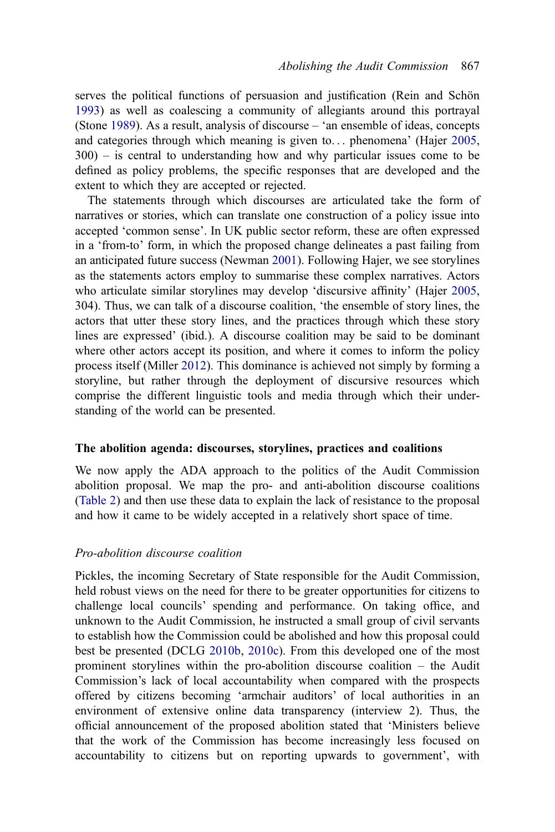serves the political functions of persuasion and justification (Rein and Schön [1993\)](#page-18-0) as well as coalescing a community of allegiants around this portrayal (Stone [1989](#page-19-0)). As a result, analysis of discourse – 'an ensemble of ideas, concepts and categories through which meaning is given to. . . phenomena' (Hajer [2005](#page-17-0), 300) – is central to understanding how and why particular issues come to be defined as policy problems, the specific responses that are developed and the extent to which they are accepted or rejected.

The statements through which discourses are articulated take the form of narratives or stories, which can translate one construction of a policy issue into accepted 'common sense'. In UK public sector reform, these are often expressed in a 'from-to' form, in which the proposed change delineates a past failing from an anticipated future success (Newman [2001](#page-18-0)). Following Hajer, we see storylines as the statements actors employ to summarise these complex narratives. Actors who articulate similar storylines may develop 'discursive affinity' (Hajer [2005](#page-17-0), 304). Thus, we can talk of a discourse coalition, 'the ensemble of story lines, the actors that utter these story lines, and the practices through which these story lines are expressed' (ibid.). A discourse coalition may be said to be dominant where other actors accept its position, and where it comes to inform the policy process itself (Miller [2012\)](#page-18-0). This dominance is achieved not simply by forming a storyline, but rather through the deployment of discursive resources which comprise the different linguistic tools and media through which their understanding of the world can be presented.

#### The abolition agenda: discourses, storylines, practices and coalitions

We now apply the ADA approach to the politics of the Audit Commission abolition proposal. We map the pro- and anti-abolition discourse coalitions [\(Table 2\)](#page-7-0) and then use these data to explain the lack of resistance to the proposal and how it came to be widely accepted in a relatively short space of time.

#### Pro-abolition discourse coalition

Pickles, the incoming Secretary of State responsible for the Audit Commission, held robust views on the need for there to be greater opportunities for citizens to challenge local councils' spending and performance. On taking office, and unknown to the Audit Commission, he instructed a small group of civil servants to establish how the Commission could be abolished and how this proposal could best be presented (DCLG [2010b](#page-16-0), [2010c](#page-16-0)). From this developed one of the most prominent storylines within the pro-abolition discourse coalition – the Audit Commission's lack of local accountability when compared with the prospects offered by citizens becoming 'armchair auditors' of local authorities in an environment of extensive online data transparency (interview 2). Thus, the official announcement of the proposed abolition stated that 'Ministers believe that the work of the Commission has become increasingly less focused on accountability to citizens but on reporting upwards to government', with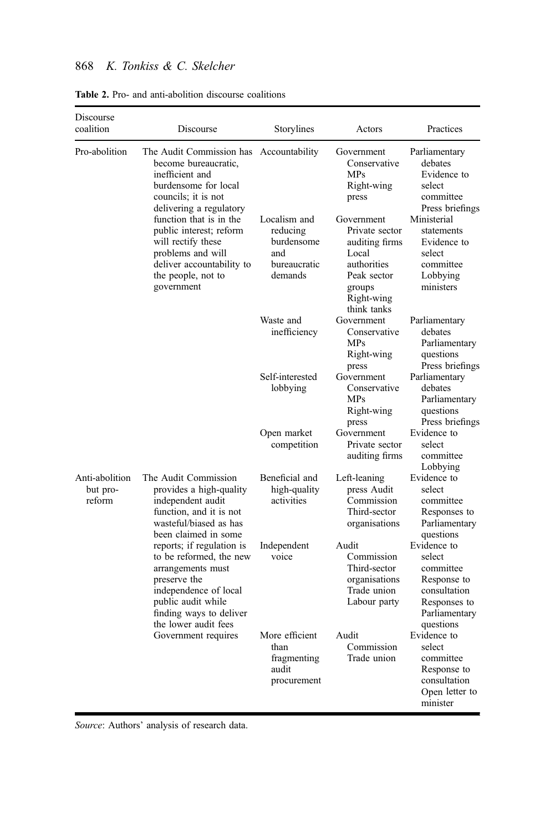# <span id="page-7-0"></span>868 K. Tonkiss & C. Skelcher

| Discourse<br>coalition               | Discourse                                                                                                                                                                                                                                                                                                       | Storylines                                                               | Actors                                                                                                                       | Practices                                                                                                       |
|--------------------------------------|-----------------------------------------------------------------------------------------------------------------------------------------------------------------------------------------------------------------------------------------------------------------------------------------------------------------|--------------------------------------------------------------------------|------------------------------------------------------------------------------------------------------------------------------|-----------------------------------------------------------------------------------------------------------------|
| Pro-abolition                        | The Audit Commission has<br>become bureaucratic,<br>inefficient and<br>burdensome for local<br>councils; it is not<br>delivering a regulatory<br>function that is in the<br>public interest; reform<br>will rectify these<br>problems and will<br>deliver accountability to<br>the people, not to<br>government | Accountability                                                           | Government<br>Conservative<br><b>MPs</b><br>Right-wing<br>press                                                              | Parliamentary<br>debates<br>Evidence to<br>select<br>committee<br>Press briefings                               |
|                                      |                                                                                                                                                                                                                                                                                                                 | Localism and<br>reducing<br>burdensome<br>and<br>bureaucratic<br>demands | Government<br>Private sector<br>auditing firms<br>Local<br>authorities<br>Peak sector<br>groups<br>Right-wing<br>think tanks | Ministerial<br>statements<br>Evidence to<br>select<br>committee<br>Lobbying<br>ministers                        |
|                                      |                                                                                                                                                                                                                                                                                                                 | Waste and<br>inefficiency                                                | Government<br>Conservative<br><b>MPs</b><br>Right-wing<br>press                                                              | Parliamentary<br>debates<br>Parliamentary<br>questions<br>Press briefings                                       |
|                                      |                                                                                                                                                                                                                                                                                                                 | Self-interested<br>lobbying                                              | Government<br>Conservative<br><b>MPs</b><br>Right-wing<br>press                                                              | Parliamentary<br>debates<br>Parliamentary<br>questions<br>Press briefings                                       |
|                                      |                                                                                                                                                                                                                                                                                                                 | Open market<br>competition                                               | Government<br>Private sector<br>auditing firms                                                                               | Evidence to<br>select<br>committee<br>Lobbying                                                                  |
| Anti-abolition<br>but pro-<br>reform | The Audit Commission<br>provides a high-quality<br>independent audit<br>function, and it is not<br>wasteful/biased as has<br>been claimed in some                                                                                                                                                               | Beneficial and<br>high-quality<br>activities                             | Left-leaning<br>press Audit<br>Commission<br>Third-sector<br>organisations                                                   | Evidence to<br>select<br>committee<br>Responses to<br>Parliamentary<br>questions                                |
|                                      | reports; if regulation is<br>to be reformed, the new<br>arrangements must<br>preserve the<br>independence of local<br>public audit while<br>finding ways to deliver<br>the lower audit fees<br>Government requires                                                                                              | Independent<br>voice                                                     | Audit<br>Commission<br>Third-sector<br>organisations<br>Trade union<br>Labour party                                          | Evidence to<br>select<br>committee<br>Response to<br>consultation<br>Responses to<br>Parliamentary<br>questions |
|                                      |                                                                                                                                                                                                                                                                                                                 | More efficient<br>than<br>fragmenting<br>audit<br>procurement            | Audit<br>Commission<br>Trade union                                                                                           | Evidence to<br>select<br>committee<br>Response to<br>consultation<br>Open letter to<br>minister                 |

Table 2. Pro- and anti-abolition discourse coalitions

Source: Authors' analysis of research data.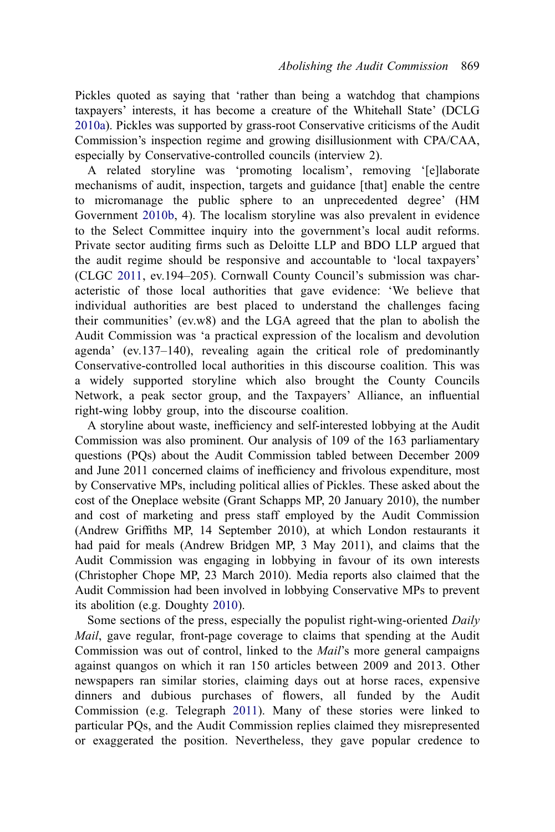Pickles quoted as saying that 'rather than being a watchdog that champions taxpayers' interests, it has become a creature of the Whitehall State' (DCLG [2010a](#page-16-0)). Pickles was supported by grass-root Conservative criticisms of the Audit Commission's inspection regime and growing disillusionment with CPA/CAA, especially by Conservative-controlled councils (interview 2).

A related storyline was 'promoting localism', removing '[e]laborate mechanisms of audit, inspection, targets and guidance [that] enable the centre to micromanage the public sphere to an unprecedented degree' (HM Government [2010b](#page-17-0), 4). The localism storyline was also prevalent in evidence to the Select Committee inquiry into the government's local audit reforms. Private sector auditing firms such as Deloitte LLP and BDO LLP argued that the audit regime should be responsive and accountable to 'local taxpayers' (CLGC [2011,](#page-16-0) ev.194–205). Cornwall County Council's submission was characteristic of those local authorities that gave evidence: 'We believe that individual authorities are best placed to understand the challenges facing their communities' (ev.w8) and the LGA agreed that the plan to abolish the Audit Commission was 'a practical expression of the localism and devolution agenda' (ev.137–140), revealing again the critical role of predominantly Conservative-controlled local authorities in this discourse coalition. This was a widely supported storyline which also brought the County Councils Network, a peak sector group, and the Taxpayers' Alliance, an influential right-wing lobby group, into the discourse coalition.

A storyline about waste, inefficiency and self-interested lobbying at the Audit Commission was also prominent. Our analysis of 109 of the 163 parliamentary questions (PQs) about the Audit Commission tabled between December 2009 and June 2011 concerned claims of inefficiency and frivolous expenditure, most by Conservative MPs, including political allies of Pickles. These asked about the cost of the Oneplace website (Grant Schapps MP, 20 January 2010), the number and cost of marketing and press staff employed by the Audit Commission (Andrew Griffiths MP, 14 September 2010), at which London restaurants it had paid for meals (Andrew Bridgen MP, 3 May 2011), and claims that the Audit Commission was engaging in lobbying in favour of its own interests (Christopher Chope MP, 23 March 2010). Media reports also claimed that the Audit Commission had been involved in lobbying Conservative MPs to prevent its abolition (e.g. Doughty [2010\)](#page-17-0).

Some sections of the press, especially the populist right-wing-oriented Daily Mail, gave regular, front-page coverage to claims that spending at the Audit Commission was out of control, linked to the Mail's more general campaigns against quangos on which it ran 150 articles between 2009 and 2013. Other newspapers ran similar stories, claiming days out at horse races, expensive dinners and dubious purchases of flowers, all funded by the Audit Commission (e.g. Telegraph [2011\)](#page-19-0). Many of these stories were linked to particular PQs, and the Audit Commission replies claimed they misrepresented or exaggerated the position. Nevertheless, they gave popular credence to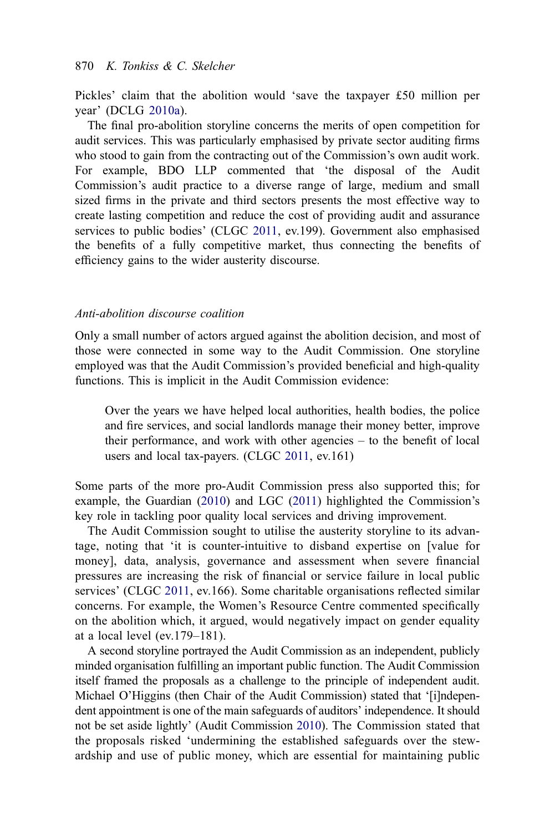Pickles' claim that the abolition would 'save the taxpayer £50 million per year' (DCLG [2010a\)](#page-16-0).

The final pro-abolition storyline concerns the merits of open competition for audit services. This was particularly emphasised by private sector auditing firms who stood to gain from the contracting out of the Commission's own audit work. For example, BDO LLP commented that 'the disposal of the Audit Commission's audit practice to a diverse range of large, medium and small sized firms in the private and third sectors presents the most effective way to create lasting competition and reduce the cost of providing audit and assurance services to public bodies' (CLGC [2011](#page-16-0), ev.199). Government also emphasised the benefits of a fully competitive market, thus connecting the benefits of efficiency gains to the wider austerity discourse.

#### Anti-abolition discourse coalition

Only a small number of actors argued against the abolition decision, and most of those were connected in some way to the Audit Commission. One storyline employed was that the Audit Commission's provided beneficial and high-quality functions. This is implicit in the Audit Commission evidence:

Over the years we have helped local authorities, health bodies, the police and fire services, and social landlords manage their money better, improve their performance, and work with other agencies – to the benefit of local users and local tax-payers. (CLGC [2011,](#page-16-0) ev.161)

Some parts of the more pro-Audit Commission press also supported this; for example, the Guardian [\(2010](#page-17-0)) and LGC [\(2011](#page-18-0)) highlighted the Commission's key role in tackling poor quality local services and driving improvement.

The Audit Commission sought to utilise the austerity storyline to its advantage, noting that 'it is counter-intuitive to disband expertise on [value for money], data, analysis, governance and assessment when severe financial pressures are increasing the risk of financial or service failure in local public services' (CLGC [2011](#page-16-0), ev.166). Some charitable organisations reflected similar concerns. For example, the Women's Resource Centre commented specifically on the abolition which, it argued, would negatively impact on gender equality at a local level (ev.179–181).

A second storyline portrayed the Audit Commission as an independent, publicly minded organisation fulfilling an important public function. The Audit Commission itself framed the proposals as a challenge to the principle of independent audit. Michael O'Higgins (then Chair of the Audit Commission) stated that '[i]ndependent appointment is one of the main safeguards of auditors' independence. It should not be set aside lightly' (Audit Commission [2010](#page-16-0)). The Commission stated that the proposals risked 'undermining the established safeguards over the stewardship and use of public money, which are essential for maintaining public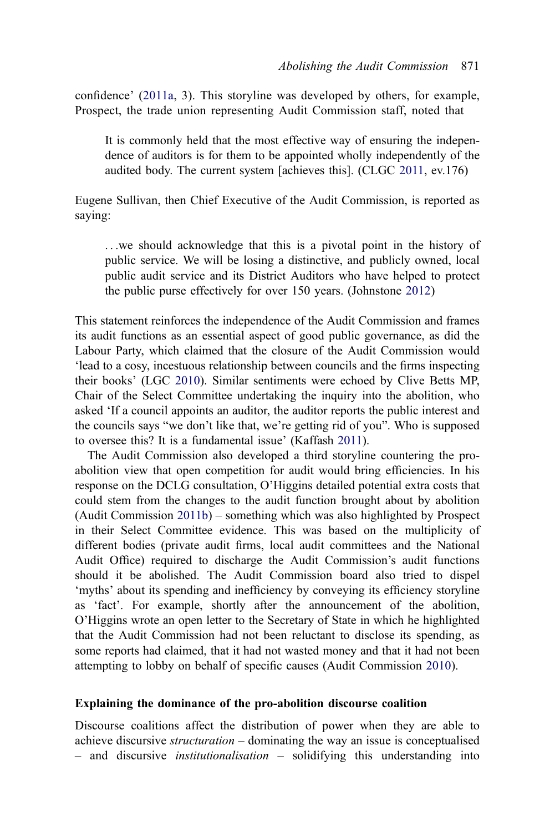confidence' ([2011a,](#page-16-0) 3). This storyline was developed by others, for example, Prospect, the trade union representing Audit Commission staff, noted that

It is commonly held that the most effective way of ensuring the independence of auditors is for them to be appointed wholly independently of the audited body. The current system [achieves this]. (CLGC [2011](#page-16-0), ev.176)

Eugene Sullivan, then Chief Executive of the Audit Commission, is reported as saying:

. . .we should acknowledge that this is a pivotal point in the history of public service. We will be losing a distinctive, and publicly owned, local public audit service and its District Auditors who have helped to protect the public purse effectively for over 150 years. (Johnstone [2012\)](#page-17-0)

This statement reinforces the independence of the Audit Commission and frames its audit functions as an essential aspect of good public governance, as did the Labour Party, which claimed that the closure of the Audit Commission would 'lead to a cosy, incestuous relationship between councils and the firms inspecting their books' (LGC [2010\)](#page-18-0). Similar sentiments were echoed by Clive Betts MP, Chair of the Select Committee undertaking the inquiry into the abolition, who asked 'If a council appoints an auditor, the auditor reports the public interest and the councils says "we don't like that, we're getting rid of you". Who is supposed to oversee this? It is a fundamental issue' (Kaffash [2011](#page-17-0)).

The Audit Commission also developed a third storyline countering the proabolition view that open competition for audit would bring efficiencies. In his response on the DCLG consultation, O'Higgins detailed potential extra costs that could stem from the changes to the audit function brought about by abolition (Audit Commission [2011b\)](#page-16-0) – something which was also highlighted by Prospect in their Select Committee evidence. This was based on the multiplicity of different bodies (private audit firms, local audit committees and the National Audit Office) required to discharge the Audit Commission's audit functions should it be abolished. The Audit Commission board also tried to dispel 'myths' about its spending and inefficiency by conveying its efficiency storyline as 'fact'. For example, shortly after the announcement of the abolition, O'Higgins wrote an open letter to the Secretary of State in which he highlighted that the Audit Commission had not been reluctant to disclose its spending, as some reports had claimed, that it had not wasted money and that it had not been attempting to lobby on behalf of specific causes (Audit Commission [2010\)](#page-16-0).

#### Explaining the dominance of the pro-abolition discourse coalition

Discourse coalitions affect the distribution of power when they are able to achieve discursive *structuration*  $-$  dominating the way an issue is conceptualised – and discursive institutionalisation – solidifying this understanding into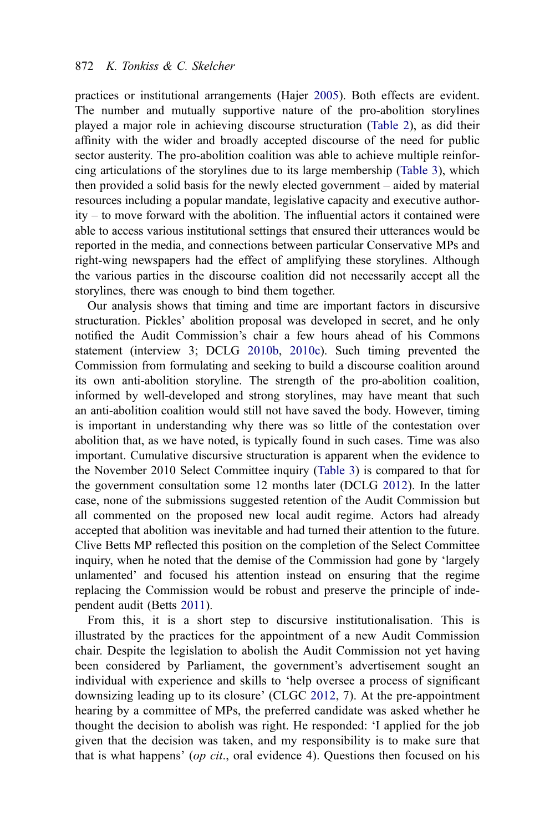practices or institutional arrangements (Hajer [2005](#page-17-0)). Both effects are evident. The number and mutually supportive nature of the pro-abolition storylines played a major role in achieving discourse structuration ([Table 2\)](#page-7-0), as did their affinity with the wider and broadly accepted discourse of the need for public sector austerity. The pro-abolition coalition was able to achieve multiple reinforcing articulations of the storylines due to its large membership [\(Table 3](#page-12-0)), which then provided a solid basis for the newly elected government – aided by material resources including a popular mandate, legislative capacity and executive authority – to move forward with the abolition. The influential actors it contained were able to access various institutional settings that ensured their utterances would be reported in the media, and connections between particular Conservative MPs and right-wing newspapers had the effect of amplifying these storylines. Although the various parties in the discourse coalition did not necessarily accept all the storylines, there was enough to bind them together.

Our analysis shows that timing and time are important factors in discursive structuration. Pickles' abolition proposal was developed in secret, and he only notified the Audit Commission's chair a few hours ahead of his Commons statement (interview 3; DCLG [2010b](#page-16-0), [2010c](#page-16-0)). Such timing prevented the Commission from formulating and seeking to build a discourse coalition around its own anti-abolition storyline. The strength of the pro-abolition coalition, informed by well-developed and strong storylines, may have meant that such an anti-abolition coalition would still not have saved the body. However, timing is important in understanding why there was so little of the contestation over abolition that, as we have noted, is typically found in such cases. Time was also important. Cumulative discursive structuration is apparent when the evidence to the November 2010 Select Committee inquiry [\(Table 3](#page-12-0)) is compared to that for the government consultation some 12 months later (DCLG [2012](#page-16-0)). In the latter case, none of the submissions suggested retention of the Audit Commission but all commented on the proposed new local audit regime. Actors had already accepted that abolition was inevitable and had turned their attention to the future. Clive Betts MP reflected this position on the completion of the Select Committee inquiry, when he noted that the demise of the Commission had gone by 'largely unlamented' and focused his attention instead on ensuring that the regime replacing the Commission would be robust and preserve the principle of independent audit (Betts [2011\)](#page-16-0).

From this, it is a short step to discursive institutionalisation. This is illustrated by the practices for the appointment of a new Audit Commission chair. Despite the legislation to abolish the Audit Commission not yet having been considered by Parliament, the government's advertisement sought an individual with experience and skills to 'help oversee a process of significant downsizing leading up to its closure' (CLGC [2012,](#page-16-0) 7). At the pre-appointment hearing by a committee of MPs, the preferred candidate was asked whether he thought the decision to abolish was right. He responded: 'I applied for the job given that the decision was taken, and my responsibility is to make sure that that is what happens' (op cit., oral evidence 4). Questions then focused on his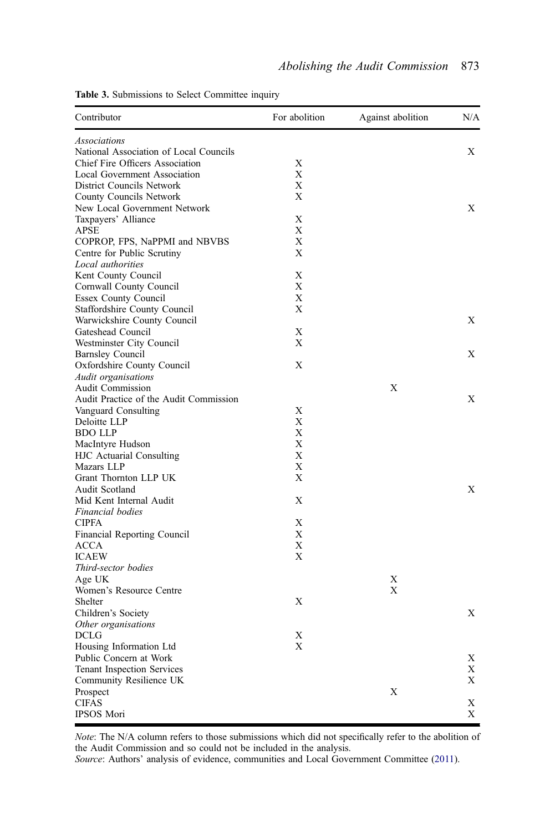| Contributor                            | For abolition | Against abolition | N/A |
|----------------------------------------|---------------|-------------------|-----|
| Associations                           |               |                   |     |
| National Association of Local Councils |               |                   | X   |
| Chief Fire Officers Association        | X             |                   |     |
| Local Government Association           | X             |                   |     |
| District Councils Network              | X             |                   |     |
| County Councils Network                | X             |                   |     |
| New Local Government Network           |               |                   | X   |
| Taxpayers' Alliance                    | X             |                   |     |
| <b>APSE</b>                            | X             |                   |     |
| COPROP, FPS, NaPPMI and NBVBS          | X             |                   |     |
| Centre for Public Scrutiny             | X             |                   |     |
| Local authorities                      |               |                   |     |
| Kent County Council                    | X             |                   |     |
| Cornwall County Council                | X             |                   |     |
| <b>Essex County Council</b>            | X             |                   |     |
| Staffordshire County Council           | X             |                   |     |
| Warwickshire County Council            |               |                   | X   |
| Gateshead Council                      | X             |                   |     |
| Westminster City Council               | X             |                   |     |
| <b>Barnsley Council</b>                |               |                   | X   |
| Oxfordshire County Council             | X             |                   |     |
| Audit organisations                    |               |                   |     |
| Audit Commission                       |               | Χ                 |     |
| Audit Practice of the Audit Commission |               |                   | X   |
| Vanguard Consulting                    | X             |                   |     |
| Deloitte LLP                           | X             |                   |     |
| <b>BDO LLP</b>                         | Χ             |                   |     |
| MacIntyre Hudson                       | X             |                   |     |
| <b>HJC</b> Actuarial Consulting        | X             |                   |     |
| Mazars LLP                             | X             |                   |     |
| Grant Thornton LLP UK                  | Χ             |                   |     |
| Audit Scotland                         |               |                   | X   |
| Mid Kent Internal Audit                | X             |                   |     |
| Financial bodies                       |               |                   |     |
| <b>CIPFA</b>                           | Χ             |                   |     |
| Financial Reporting Council            | X             |                   |     |
| ACCA                                   | X             |                   |     |
| <b>ICAEW</b>                           | X             |                   |     |
| Third-sector bodies                    |               |                   |     |
| Age UK                                 |               | Χ                 |     |
| Women's Resource Centre                |               | X                 |     |
| Shelter                                | X             |                   |     |
| Children's Society                     |               |                   | X   |
| Other organisations                    |               |                   |     |
| <b>DCLG</b>                            | X             |                   |     |
| Housing Information Ltd                | X             |                   |     |
| Public Concern at Work                 |               |                   | Х   |
| <b>Tenant Inspection Services</b>      |               |                   | X   |
| Community Resilience UK                |               |                   | X   |
| Prospect                               |               | X                 |     |
| <b>CIFAS</b>                           |               |                   | Χ   |
| IPSOS Mori                             |               |                   | X   |

<span id="page-12-0"></span>Table 3. Submissions to Select Committee inquiry

Note: The N/A column refers to those submissions which did not specifically refer to the abolition of the Audit Commission and so could not be included in the analysis.

Source: Authors' analysis of evidence, communities and Local Government Committee ([2011](#page-16-0)).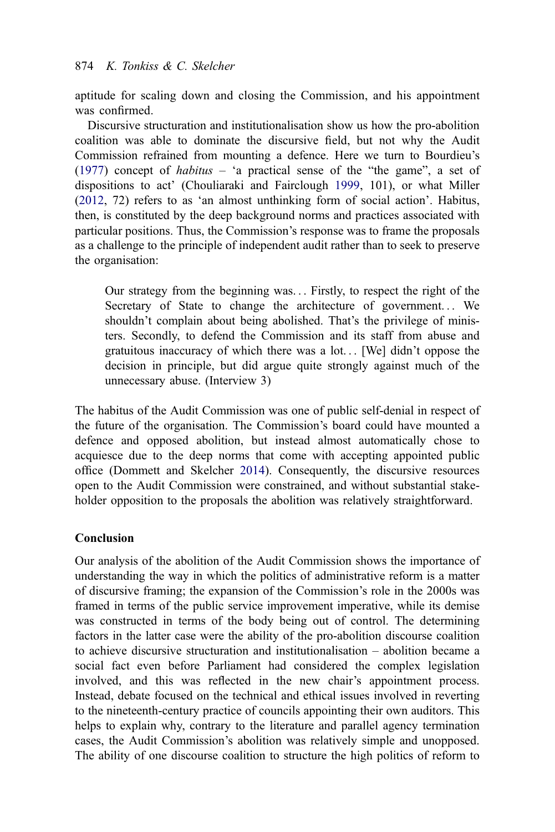aptitude for scaling down and closing the Commission, and his appointment was confirmed.

Discursive structuration and institutionalisation show us how the pro-abolition coalition was able to dominate the discursive field, but not why the Audit Commission refrained from mounting a defence. Here we turn to Bourdieu's [\(1977\)](#page-16-0) concept of *habitus* – 'a practical sense of the "the game", a set of dispositions to act' (Chouliaraki and Fairclough [1999](#page-16-0), 101), or what Miller [\(2012,](#page-18-0) 72) refers to as 'an almost unthinking form of social action'. Habitus, then, is constituted by the deep background norms and practices associated with particular positions. Thus, the Commission's response was to frame the proposals as a challenge to the principle of independent audit rather than to seek to preserve the organisation:

Our strategy from the beginning was. . . Firstly, to respect the right of the Secretary of State to change the architecture of government... We shouldn't complain about being abolished. That's the privilege of ministers. Secondly, to defend the Commission and its staff from abuse and gratuitous inaccuracy of which there was a lot... [We] didn't oppose the decision in principle, but did argue quite strongly against much of the unnecessary abuse. (Interview 3)

The habitus of the Audit Commission was one of public self-denial in respect of the future of the organisation. The Commission's board could have mounted a defence and opposed abolition, but instead almost automatically chose to acquiesce due to the deep norms that come with accepting appointed public office (Dommett and Skelcher [2014](#page-16-0)). Consequently, the discursive resources open to the Audit Commission were constrained, and without substantial stakeholder opposition to the proposals the abolition was relatively straightforward.

## Conclusion

Our analysis of the abolition of the Audit Commission shows the importance of understanding the way in which the politics of administrative reform is a matter of discursive framing; the expansion of the Commission's role in the 2000s was framed in terms of the public service improvement imperative, while its demise was constructed in terms of the body being out of control. The determining factors in the latter case were the ability of the pro-abolition discourse coalition to achieve discursive structuration and institutionalisation – abolition became a social fact even before Parliament had considered the complex legislation involved, and this was reflected in the new chair's appointment process. Instead, debate focused on the technical and ethical issues involved in reverting to the nineteenth-century practice of councils appointing their own auditors. This helps to explain why, contrary to the literature and parallel agency termination cases, the Audit Commission's abolition was relatively simple and unopposed. The ability of one discourse coalition to structure the high politics of reform to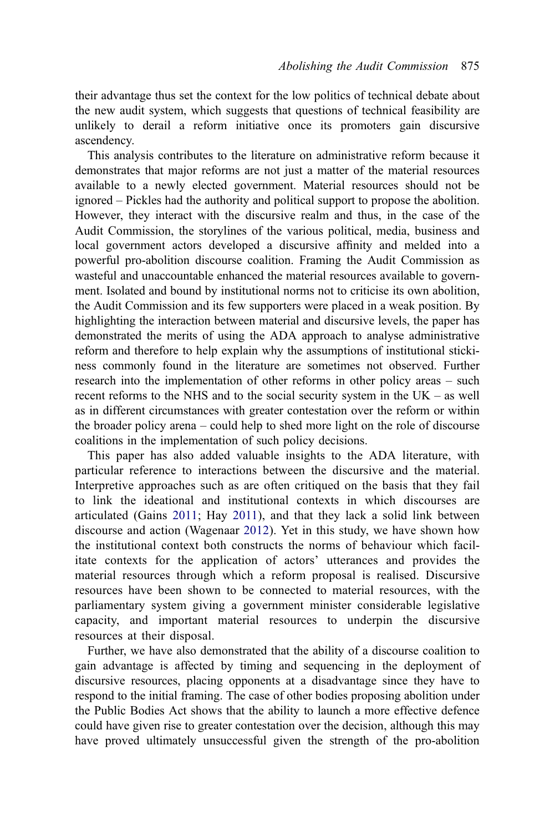their advantage thus set the context for the low politics of technical debate about the new audit system, which suggests that questions of technical feasibility are unlikely to derail a reform initiative once its promoters gain discursive ascendency.

This analysis contributes to the literature on administrative reform because it demonstrates that major reforms are not just a matter of the material resources available to a newly elected government. Material resources should not be ignored – Pickles had the authority and political support to propose the abolition. However, they interact with the discursive realm and thus, in the case of the Audit Commission, the storylines of the various political, media, business and local government actors developed a discursive affinity and melded into a powerful pro-abolition discourse coalition. Framing the Audit Commission as wasteful and unaccountable enhanced the material resources available to government. Isolated and bound by institutional norms not to criticise its own abolition, the Audit Commission and its few supporters were placed in a weak position. By highlighting the interaction between material and discursive levels, the paper has demonstrated the merits of using the ADA approach to analyse administrative reform and therefore to help explain why the assumptions of institutional stickiness commonly found in the literature are sometimes not observed. Further research into the implementation of other reforms in other policy areas – such recent reforms to the NHS and to the social security system in the UK – as well as in different circumstances with greater contestation over the reform or within the broader policy arena – could help to shed more light on the role of discourse coalitions in the implementation of such policy decisions.

This paper has also added valuable insights to the ADA literature, with particular reference to interactions between the discursive and the material. Interpretive approaches such as are often critiqued on the basis that they fail to link the ideational and institutional contexts in which discourses are articulated (Gains [2011;](#page-17-0) Hay [2011\)](#page-17-0), and that they lack a solid link between discourse and action (Wagenaar [2012\)](#page-19-0). Yet in this study, we have shown how the institutional context both constructs the norms of behaviour which facilitate contexts for the application of actors' utterances and provides the material resources through which a reform proposal is realised. Discursive resources have been shown to be connected to material resources, with the parliamentary system giving a government minister considerable legislative capacity, and important material resources to underpin the discursive resources at their disposal.

Further, we have also demonstrated that the ability of a discourse coalition to gain advantage is affected by timing and sequencing in the deployment of discursive resources, placing opponents at a disadvantage since they have to respond to the initial framing. The case of other bodies proposing abolition under the Public Bodies Act shows that the ability to launch a more effective defence could have given rise to greater contestation over the decision, although this may have proved ultimately unsuccessful given the strength of the pro-abolition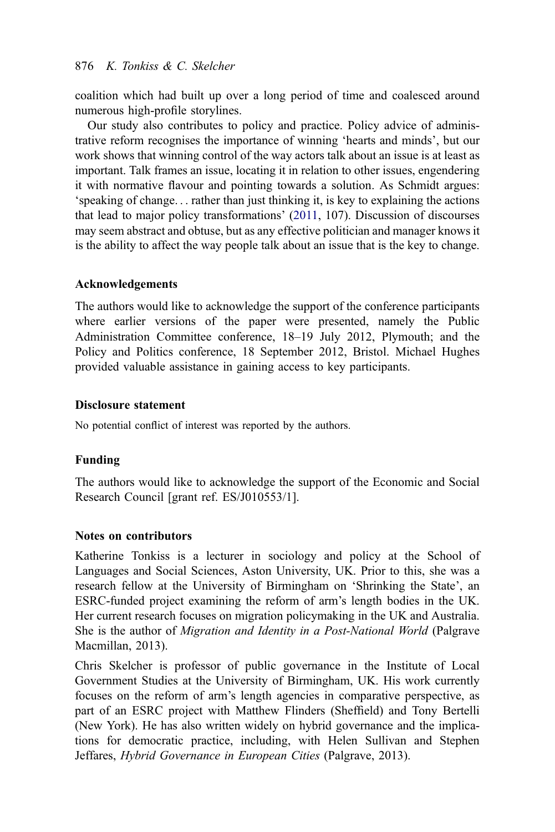coalition which had built up over a long period of time and coalesced around numerous high-profile storylines.

Our study also contributes to policy and practice. Policy advice of administrative reform recognises the importance of winning 'hearts and minds', but our work shows that winning control of the way actors talk about an issue is at least as important. Talk frames an issue, locating it in relation to other issues, engendering it with normative flavour and pointing towards a solution. As Schmidt argues: 'speaking of change. . . rather than just thinking it, is key to explaining the actions that lead to major policy transformations' [\(2011,](#page-18-0) 107). Discussion of discourses may seem abstract and obtuse, but as any effective politician and manager knows it is the ability to affect the way people talk about an issue that is the key to change.

# Acknowledgements

The authors would like to acknowledge the support of the conference participants where earlier versions of the paper were presented, namely the Public Administration Committee conference, 18–19 July 2012, Plymouth; and the Policy and Politics conference, 18 September 2012, Bristol. Michael Hughes provided valuable assistance in gaining access to key participants.

# Disclosure statement

No potential conflict of interest was reported by the authors.

# Funding

The authors would like to acknowledge the support of the Economic and Social Research Council [grant ref. ES/J010553/1].

## Notes on contributors

Katherine Tonkiss is a lecturer in sociology and policy at the School of Languages and Social Sciences, Aston University, UK. Prior to this, she was a research fellow at the University of Birmingham on 'Shrinking the State', an ESRC-funded project examining the reform of arm's length bodies in the UK. Her current research focuses on migration policymaking in the UK and Australia. She is the author of Migration and Identity in a Post-National World (Palgrave Macmillan, 2013).

Chris Skelcher is professor of public governance in the Institute of Local Government Studies at the University of Birmingham, UK. His work currently focuses on the reform of arm's length agencies in comparative perspective, as part of an ESRC project with Matthew Flinders (Sheffield) and Tony Bertelli (New York). He has also written widely on hybrid governance and the implications for democratic practice, including, with Helen Sullivan and Stephen Jeffares, Hybrid Governance in European Cities (Palgrave, 2013).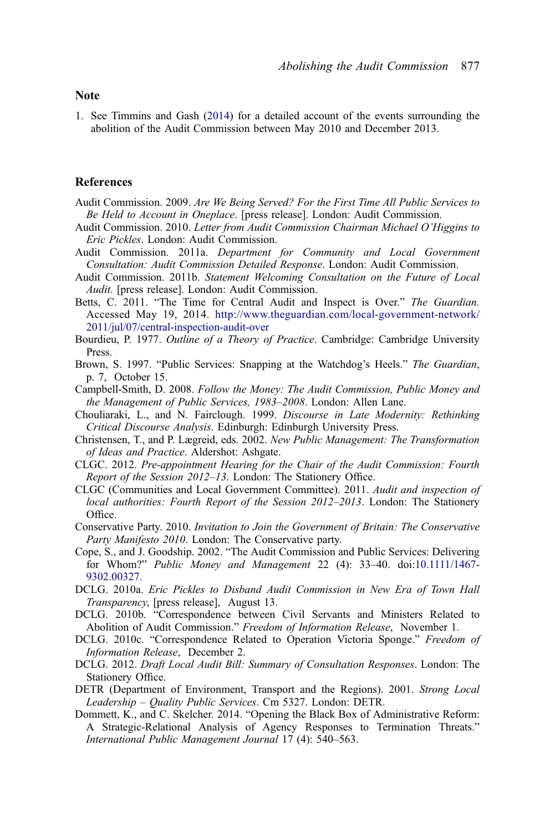#### <span id="page-16-0"></span>Note

1. See Timmins and Gash [\(2014](#page-19-0)) for a detailed account of the events surrounding the abolition of the Audit Commission between May 2010 and December 2013.

# References

- Audit Commission. 2009. Are We Being Served? For the First Time All Public Services to Be Held to Account in Oneplace. [press release]. London: Audit Commission.
- Audit Commission. 2010. Letter from Audit Commission Chairman Michael O'Higgins to Eric Pickles. London: Audit Commission.
- Audit Commission. 2011a. Department for Community and Local Government Consultation: Audit Commission Detailed Response. London: Audit Commission.
- Audit Commission. 2011b. Statement Welcoming Consultation on the Future of Local Audit. [press release]. London: Audit Commission.
- Betts, C. 2011. "The Time for Central Audit and Inspect is Over." The Guardian. Accessed May 19, 2014. [http://www.theguardian.com/local-government-network/](http://www.theguardian.com/local-government-network/2011/jul/07/central-inspection-audit-over) [2011/jul/07/central-inspection-audit-over](http://www.theguardian.com/local-government-network/2011/jul/07/central-inspection-audit-over)
- Bourdieu, P. 1977. Outline of a Theory of Practice. Cambridge: Cambridge University Press.
- Brown, S. 1997. "Public Services: Snapping at the Watchdog's Heels." The Guardian, p. 7, October 15.
- Campbell-Smith, D. 2008. Follow the Money: The Audit Commission, Public Money and the Management of Public Services, 1983–2008. London: Allen Lane.
- Chouliaraki, L., and N. Fairclough. 1999. Discourse in Late Modernity: Rethinking Critical Discourse Analysis. Edinburgh: Edinburgh University Press.
- Christensen, T., and P. Lægreid, eds. 2002. New Public Management: The Transformation of Ideas and Practice. Aldershot: Ashgate.
- CLGC. 2012. Pre-appointment Hearing for the Chair of the Audit Commission: Fourth Report of the Session 2012–13. London: The Stationery Office.
- CLGC (Communities and Local Government Committee). 2011. Audit and inspection of local authorities: Fourth Report of the Session 2012–2013. London: The Stationery Office.
- Conservative Party. 2010. Invitation to Join the Government of Britain: The Conservative Party Manifesto 2010. London: The Conservative party.
- Cope, S., and J. Goodship. 2002. "The Audit Commission and Public Services: Delivering for Whom?" Public Money and Management 22 (4): 33–40. doi:[10.1111/1467-](http://dx.doi.org/10.1111/1467-9302.00327) [9302.00327](http://dx.doi.org/10.1111/1467-9302.00327).
- DCLG. 2010a. Eric Pickles to Disband Audit Commission in New Era of Town Hall Transparency, [press release], August 13.
- DCLG. 2010b. "Correspondence between Civil Servants and Ministers Related to Abolition of Audit Commission." Freedom of Information Release, November 1.
- DCLG. 2010c. "Correspondence Related to Operation Victoria Sponge." Freedom of Information Release, December 2.
- DCLG. 2012. Draft Local Audit Bill: Summary of Consultation Responses. London: The Stationery Office.
- DETR (Department of Environment, Transport and the Regions). 2001. Strong Local Leadership – Quality Public Services. Cm 5327. London: DETR.
- Dommett, K., and C. Skelcher. 2014. "Opening the Black Box of Administrative Reform: A Strategic-Relational Analysis of Agency Responses to Termination Threats." International Public Management Journal 17 (4): 540–563.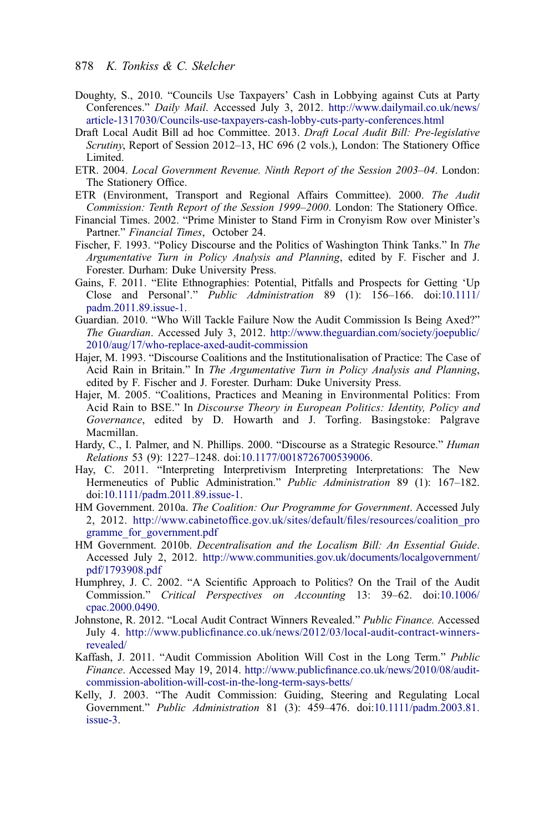- <span id="page-17-0"></span>Doughty, S., 2010. "Councils Use Taxpayers' Cash in Lobbying against Cuts at Party Conferences." Daily Mail. Accessed July 3, 2012. [http://www.dailymail.co.uk/news/](http://www.dailymail.co.uk/news/article-1317030/Councils-use-taxpayers-cash-lobby-cuts-party-conferences.html) [article-1317030/Councils-use-taxpayers-cash-lobby-cuts-party-conferences.html](http://www.dailymail.co.uk/news/article-1317030/Councils-use-taxpayers-cash-lobby-cuts-party-conferences.html)
- Draft Local Audit Bill ad hoc Committee. 2013. Draft Local Audit Bill: Pre-legislative Scrutiny, Report of Session 2012–13, HC 696 (2 vols.), London: The Stationery Office Limited.
- ETR. 2004. Local Government Revenue. Ninth Report of the Session 2003–04. London: The Stationery Office.
- ETR (Environment, Transport and Regional Affairs Committee). 2000. The Audit Commission: Tenth Report of the Session 1999–2000. London: The Stationery Office.
- Financial Times. 2002. "Prime Minister to Stand Firm in Cronyism Row over Minister's Partner." Financial Times, October 24.
- Fischer, F. 1993. "Policy Discourse and the Politics of Washington Think Tanks." In The Argumentative Turn in Policy Analysis and Planning, edited by F. Fischer and J. Forester. Durham: Duke University Press.
- Gains, F. 2011. "Elite Ethnographies: Potential, Pitfalls and Prospects for Getting 'Up Close and Personal'." Public Administration 89 (1): 156–166. doi:[10.1111/](http://dx.doi.org/10.1111/padm.2011.89.issue-1) [padm.2011.89.issue-1](http://dx.doi.org/10.1111/padm.2011.89.issue-1).
- Guardian. 2010. "Who Will Tackle Failure Now the Audit Commission Is Being Axed?" The Guardian. Accessed July 3, 2012. [http://www.theguardian.com/society/joepublic/](http://www.theguardian.com/society/joepublic/2010/aug/17/who-replace-axed-audit-commission) [2010/aug/17/who-replace-axed-audit-commission](http://www.theguardian.com/society/joepublic/2010/aug/17/who-replace-axed-audit-commission)
- Hajer, M. 1993. "Discourse Coalitions and the Institutionalisation of Practice: The Case of Acid Rain in Britain." In The Argumentative Turn in Policy Analysis and Planning, edited by F. Fischer and J. Forester. Durham: Duke University Press.
- Hajer, M. 2005. "Coalitions, Practices and Meaning in Environmental Politics: From Acid Rain to BSE." In Discourse Theory in European Politics: Identity, Policy and Governance, edited by D. Howarth and J. Torfing. Basingstoke: Palgrave Macmillan.
- Hardy, C., I. Palmer, and N. Phillips. 2000. "Discourse as a Strategic Resource." Human Relations 53 (9): 1227–1248. doi:[10.1177/0018726700539006](http://dx.doi.org/10.1177/0018726700539006).
- Hay, C. 2011. "Interpreting Interpretivism Interpreting Interpretations: The New Hermeneutics of Public Administration." Public Administration 89 (1): 167–182. doi:[10.1111/padm.2011.89.issue-1.](http://dx.doi.org/10.1111/padm.2011.89.issue-1)
- HM Government. 2010a. The Coalition: Our Programme for Government. Accessed July 2, 2012. http://www.cabinetoffice.gov.uk/sites/default/fi[les/resources/coalition\\_pro](http://www.cabinetoffice.gov.uk/sites/default/files/resources/coalition_programme_for_government.pdf) [gramme\\_for\\_government.pdf](http://www.cabinetoffice.gov.uk/sites/default/files/resources/coalition_programme_for_government.pdf)
- HM Government. 2010b. Decentralisation and the Localism Bill: An Essential Guide. Accessed July 2, 2012. [http://www.communities.gov.uk/documents/localgovernment/](http://www.communities.gov.uk/documents/localgovernment/pdf/1793908.pdf) [pdf/1793908.pdf](http://www.communities.gov.uk/documents/localgovernment/pdf/1793908.pdf)
- Humphrey, J. C. 2002. "A Scientific Approach to Politics? On the Trail of the Audit Commission." Critical Perspectives on Accounting 13: 39–62. doi:[10.1006/](http://dx.doi.org/10.1006/cpac.2000.0490) [cpac.2000.0490](http://dx.doi.org/10.1006/cpac.2000.0490).
- Johnstone, R. 2012. "Local Audit Contract Winners Revealed." Public Finance. Accessed July 4. http://www.publicfi[nance.co.uk/news/2012/03/local-audit-contract-winners](http://www.publicfinance.co.uk/news/2012/03/local-audit-contract-winners-revealed/)[revealed/](http://www.publicfinance.co.uk/news/2012/03/local-audit-contract-winners-revealed/)
- Kaffash, J. 2011. "Audit Commission Abolition Will Cost in the Long Term." Public Finance. Accessed May 19, 2014. http://www.publicfi[nance.co.uk/news/2010/08/audit](http://www.publicfinance.co.uk/news/2010/08/audit-commission-abolition-will-cost-in-the-long-term-says-betts/)[commission-abolition-will-cost-in-the-long-term-says-betts/](http://www.publicfinance.co.uk/news/2010/08/audit-commission-abolition-will-cost-in-the-long-term-says-betts/)
- Kelly, J. 2003. "The Audit Commission: Guiding, Steering and Regulating Local Government." Public Administration 81 (3): 459–476. doi:[10.1111/padm.2003.81.](http://dx.doi.org/10.1111/padm.2003.81.issue-3) [issue-3.](http://dx.doi.org/10.1111/padm.2003.81.issue-3)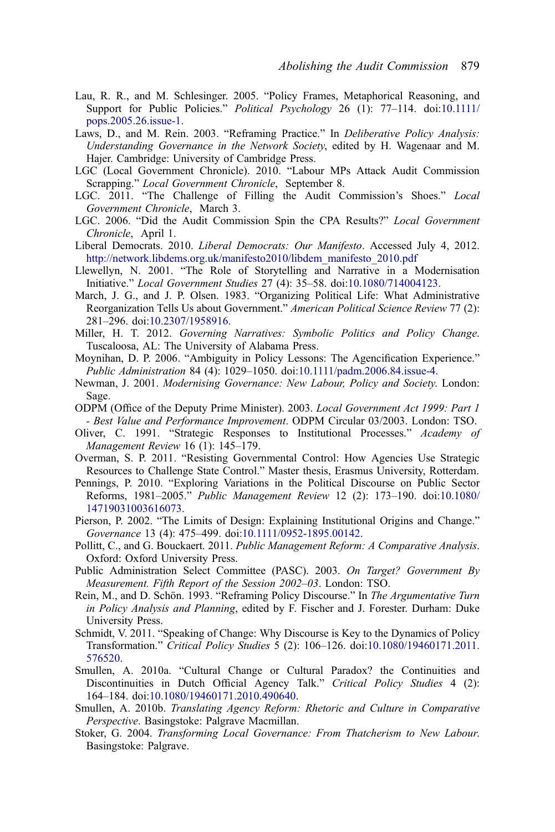- <span id="page-18-0"></span>Lau, R. R., and M. Schlesinger. 2005. "Policy Frames, Metaphorical Reasoning, and Support for Public Policies." Political Psychology 26 (1): 77–114. doi:[10.1111/](http://dx.doi.org/10.1111/pops.2005.26.issue-1) [pops.2005.26.issue-1](http://dx.doi.org/10.1111/pops.2005.26.issue-1).
- Laws, D., and M. Rein. 2003. "Reframing Practice." In Deliberative Policy Analysis: Understanding Governance in the Network Society, edited by H. Wagenaar and M. Hajer. Cambridge: University of Cambridge Press.
- LGC (Local Government Chronicle). 2010. "Labour MPs Attack Audit Commission Scrapping." Local Government Chronicle, September 8.
- LGC. 2011. "The Challenge of Filling the Audit Commission's Shoes." Local Government Chronicle, March 3.
- LGC. 2006. "Did the Audit Commission Spin the CPA Results?" Local Government Chronicle, April 1.
- Liberal Democrats. 2010. Liberal Democrats: Our Manifesto. Accessed July 4, 2012. [http://network.libdems.org.uk/manifesto2010/libdem\\_manifesto\\_2010.pdf](http://network.libdems.org.uk/manifesto2010/libdem_manifesto_2010.pdf)
- Llewellyn, N. 2001. "The Role of Storytelling and Narrative in a Modernisation Initiative." Local Government Studies 27 (4): 35–58. doi:[10.1080/714004123](http://dx.doi.org/10.1080/714004123).
- March, J. G., and J. P. Olsen. 1983. "Organizing Political Life: What Administrative Reorganization Tells Us about Government." American Political Science Review 77 (2): 281–296. doi:[10.2307/1958916](http://dx.doi.org/10.2307/1958916).
- Miller, H. T. 2012. Governing Narratives: Symbolic Politics and Policy Change. Tuscaloosa, AL: The University of Alabama Press.
- Moynihan, D. P. 2006. "Ambiguity in Policy Lessons: The Agencification Experience." Public Administration 84 (4): 1029–1050. doi:[10.1111/padm.2006.84.issue-4](http://dx.doi.org/10.1111/padm.2006.84.issue-4).
- Newman, J. 2001. Modernising Governance: New Labour, Policy and Society. London: Sage.
- ODPM (Office of the Deputy Prime Minister). 2003. Local Government Act 1999: Part 1 - Best Value and Performance Improvement. ODPM Circular 03/2003. London: TSO.
- Oliver, C. 1991. "Strategic Responses to Institutional Processes." Academy of Management Review 16 (1): 145–179.
- Overman, S. P. 2011. "Resisting Governmental Control: How Agencies Use Strategic Resources to Challenge State Control." Master thesis, Erasmus University, Rotterdam.
- Pennings, P. 2010. "Exploring Variations in the Political Discourse on Public Sector Reforms, 1981–2005." Public Management Review 12 (2): 173–190. doi:[10.1080/](http://dx.doi.org/10.1080/14719031003616073) [14719031003616073.](http://dx.doi.org/10.1080/14719031003616073)
- Pierson, P. 2002. "The Limits of Design: Explaining Institutional Origins and Change." Governance 13 (4): 475–499. doi:[10.1111/0952-1895.00142](http://dx.doi.org/10.1111/0952-1895.00142).
- Pollitt, C., and G. Bouckaert. 2011. Public Management Reform: A Comparative Analysis. Oxford: Oxford University Press.
- Public Administration Select Committee (PASC). 2003. On Target? Government By Measurement. Fifth Report of the Session 2002–03. London: TSO.
- Rein, M., and D. Schön. 1993. "Reframing Policy Discourse." In The Argumentative Turn in Policy Analysis and Planning, edited by F. Fischer and J. Forester. Durham: Duke University Press.
- Schmidt, V. 2011. "Speaking of Change: Why Discourse is Key to the Dynamics of Policy Transformation." Critical Policy Studies 5 (2): 106–126. doi:[10.1080/19460171.2011.](http://dx.doi.org/10.1080/19460171.2011.576520) [576520.](http://dx.doi.org/10.1080/19460171.2011.576520)
- Smullen, A. 2010a. "Cultural Change or Cultural Paradox? the Continuities and Discontinuities in Dutch Official Agency Talk." Critical Policy Studies 4 (2): 164–184. doi:[10.1080/19460171.2010.490640.](http://dx.doi.org/10.1080/19460171.2010.490640)
- Smullen, A. 2010b. Translating Agency Reform: Rhetoric and Culture in Comparative Perspective. Basingstoke: Palgrave Macmillan.
- Stoker, G. 2004. Transforming Local Governance: From Thatcherism to New Labour. Basingstoke: Palgrave.